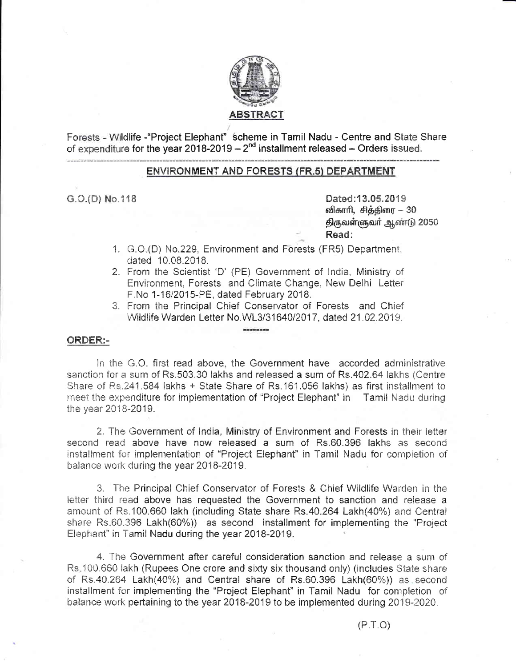

Forests - Wildlife - "Project Elephant" scheme in Tamil Nadu - Centre and State Share of expenditure for the year 2018-2019 – 2<sup>nd</sup> installment released – Orders issued.

# **ENVIRONMENT AND FORESTS (FR.5) DEPARTMENT**

 $G.O.(D)$  No.118

Dated:13.05.2019 விகாரி, சித்திரை – 30 திருவள்ளுவர் ஆண்டு 2050 Read:

- 1. G.O.(D) No.229, Environment and Forests (FR5) Department, dated 10.08.2018.
- 2. From the Scientist 'D' (PE) Government of India, Ministry of Environment, Forests and Climate Change, New Delhi Letter F.No 1-16/2015-PE, dated February 2018.
- 3. From the Principal Chief Conservator of Forests and Chief Wildlife Warden Letter No. WL3/31640/2017, dated 21.02.2019.

#### ORDER:-

In the G.O. first read above, the Government have accorded administrative sanction for a sum of Rs.503.30 lakhs and released a sum of Rs.402.64 lakhs (Centre Share of Rs.241.584 lakhs + State Share of Rs.161.056 lakhs) as first installment to meet the expenditure for implementation of "Project Elephant" in Tamil Nadu during the year 2018-2019.

2. The Government of India, Ministry of Environment and Forests in their letter second read above have now released a sum of Rs.60.396 lakhs as second installment for implementation of "Project Elephant" in Tamil Nadu for completion of balance work during the year 2018-2019.

3. The Principal Chief Conservator of Forests & Chief Wildlife Warden in the letter third read above has requested the Government to sanction and release a amount of Rs.100.660 lakh (including State share Rs.40.264 Lakh(40%) and Central share Rs.60.396 Lakh(60%)) as second installment for implementing the "Project Elephant" in Tamil Nadu during the year 2018-2019.

4. The Government after careful consideration sanction and release a sum of Rs. 100.660 lakh (Rupees One crore and sixty six thousand only) (includes State share of Rs.40.264 Lakh(40%) and Central share of Rs.60.396 Lakh(60%)) as second installment for implementing the "Project Elephant" in Tamil Nadu for completion of balance work pertaining to the year 2018-2019 to be implemented during 2019-2020.